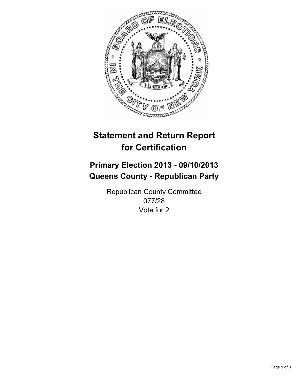

# **Statement and Return Report for Certification**

## **Primary Election 2013 - 09/10/2013 Queens County - Republican Party**

Republican County Committee 077/28 Vote for 2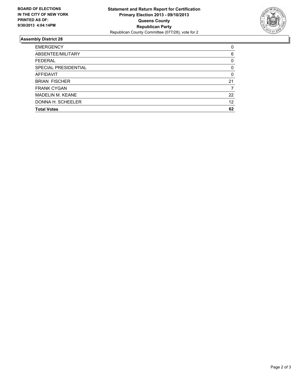

### **Assembly District 28**

| 0        |
|----------|
| 6        |
| 0        |
| $\Omega$ |
| 0        |
| 21       |
|          |
| 22       |
| 12       |
| 62       |
|          |